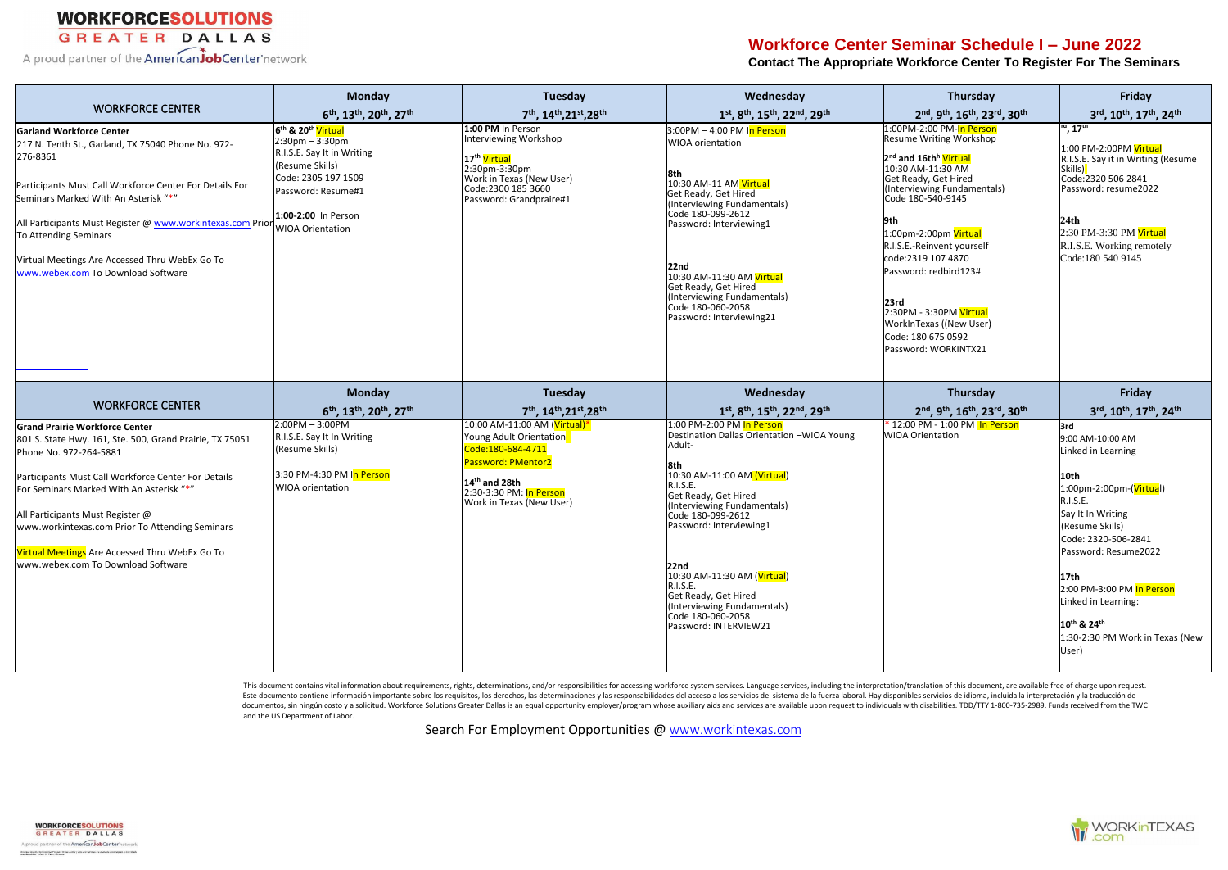GREATER DALLAS

A proud partner of the **American Job Center** network

## **Workforce Center Seminar Schedule I – June 2022**

**Contact The Appropriate Workforce Center To Register For The Seminars**

This document contains vital information about requirements, rights, determinations, and/or responsibilities for accessing workforce system services. Language services, including the interpretation/translation of this docu Este documento contiene información importante sobre los requisitos, los derechos, las determinaciones y las responsabilidades del acceso a los servicios del sistema de la fuerza laboral. Hay disponibles servicios de idiom documentos, sin ningún costo y a solicitud. Workforce Solutions Greater Dallas is an equal opportunity employer/program whose auxiliary aids and services are available upon request to individuals with disabilities. TDD/TTY and the US Department of Labor.





| <b>WORKFORCE CENTER</b>                                                                                                                                                                                                                                                                                                                                                                                       | <b>Monday</b>                                                                                                                                                                                                      | <b>Tuesday</b>                                                                                                                                                               | Wednesday                                                                                                                                                                                                                                                                                                                                                                                                       | Thursday                                                                                                                                                                                                                                                                                                                                                                                                                        | Friday                                                                                                                                                                                                                                                                                                                                             |
|---------------------------------------------------------------------------------------------------------------------------------------------------------------------------------------------------------------------------------------------------------------------------------------------------------------------------------------------------------------------------------------------------------------|--------------------------------------------------------------------------------------------------------------------------------------------------------------------------------------------------------------------|------------------------------------------------------------------------------------------------------------------------------------------------------------------------------|-----------------------------------------------------------------------------------------------------------------------------------------------------------------------------------------------------------------------------------------------------------------------------------------------------------------------------------------------------------------------------------------------------------------|---------------------------------------------------------------------------------------------------------------------------------------------------------------------------------------------------------------------------------------------------------------------------------------------------------------------------------------------------------------------------------------------------------------------------------|----------------------------------------------------------------------------------------------------------------------------------------------------------------------------------------------------------------------------------------------------------------------------------------------------------------------------------------------------|
|                                                                                                                                                                                                                                                                                                                                                                                                               | 6 <sup>th</sup> , 13 <sup>th</sup> , 20 <sup>th</sup> , 27 <sup>th</sup>                                                                                                                                           | 7 <sup>th</sup> , 14 <sup>th</sup> , 21 <sup>st</sup> , 28 <sup>th</sup>                                                                                                     | $1^{st}$ , 8 <sup>th</sup> , 15 <sup>th</sup> , 22 <sup>nd</sup> , 29 <sup>th</sup>                                                                                                                                                                                                                                                                                                                             | 2nd, 9th, 16th, 23rd, 30th                                                                                                                                                                                                                                                                                                                                                                                                      | 3rd, 10th, 17th, 24th                                                                                                                                                                                                                                                                                                                              |
| <b>Garland Workforce Center</b><br>217 N. Tenth St., Garland, TX 75040 Phone No. 972-<br>276-8361<br>Participants Must Call Workforce Center For Details For<br>Seminars Marked With An Asterisk "*"<br>All Participants Must Register @ www.workintexas.com Prior<br>To Attending Seminars<br>Virtual Meetings Are Accessed Thru WebEx Go To<br>www.webex.com To Download Software                           | 6 <sup>th</sup> & 20 <sup>th</sup> Virtual<br>$2:30$ pm $-3:30$ pm<br>R.I.S.E. Say It in Writing<br>(Resume Skills)<br>Code: 2305 197 1509<br>Password: Resume#1<br>1:00-2:00 In Person<br><b>WIOA Orientation</b> | 1:00 PM In Person<br>Interviewing Workshop<br>17 <sup>th</sup> Virtual<br>2:30pm-3:30pm<br>Work in Texas (New User)<br>Code:2300 185 3660<br>Password: Grandpraire#1         | 3:00PM - 4:00 PM In Person<br><b>WIOA</b> orientation<br>l8th<br>10:30 AM-11 AM Virtual<br>Get Ready, Get Hired<br>(Interviewing Fundamentals)<br>Code 180-099-2612<br>Password: Interviewing1<br>22nd<br>10:30 AM-11:30 AM Virtual<br>Get Ready, Get Hired<br>(Interviewing Fundamentals)<br>Code 180-060-2058<br>Password: Interviewing21                                                                     | 1:00PM-2:00 PM-In Person<br>Resume Writing Workshop<br>2 <sup>nd</sup> and 16th <sup>h</sup> Virtual<br>10:30 AM-11:30 AM<br>Get Ready, Get Hired<br>(Interviewing Fundamentals)<br>Code 180-540-9145<br>l9th<br>1:00pm-2:00pm Virtual<br>R.I.S.E.-Reinvent yourself<br>code:2319 107 4870<br>Password: redbird123#<br>23rd<br>2:30PM - 3:30PM Virtual<br>WorkInTexas ((New User)<br>Code: 180 675 0592<br>Password: WORKINTX21 | $\frac{rd}{r}$ , 17 <sup>th</sup><br>1:00 PM-2:00PM Virtual<br>R.I.S.E. Say it in Writing (Resume<br>Skills)<br>Code:2320 506 2841<br>Password: resume2022<br>24th<br>2:30 PM-3:30 PM Virtual<br>R.I.S.E. Working remotely<br>Code:180 540 9145                                                                                                    |
| <b>WORKFORCE CENTER</b>                                                                                                                                                                                                                                                                                                                                                                                       | <b>Monday</b>                                                                                                                                                                                                      | Tuesday                                                                                                                                                                      | Wednesday                                                                                                                                                                                                                                                                                                                                                                                                       | Thursday                                                                                                                                                                                                                                                                                                                                                                                                                        | Friday                                                                                                                                                                                                                                                                                                                                             |
|                                                                                                                                                                                                                                                                                                                                                                                                               | 6 <sup>th</sup> , 13 <sup>th</sup> , 20 <sup>th</sup> , 27 <sup>th</sup>                                                                                                                                           | 7 <sup>th</sup> , 14 <sup>th</sup> , 21st, 28 <sup>th</sup>                                                                                                                  | 1st, 8th, 15th, 22nd, 29th                                                                                                                                                                                                                                                                                                                                                                                      | 2nd, 9th, 16th, 23rd, 30th                                                                                                                                                                                                                                                                                                                                                                                                      | 3rd, 10th, 17th, 24th                                                                                                                                                                                                                                                                                                                              |
| <b>Grand Prairie Workforce Center</b><br>801 S. State Hwy. 161, Ste. 500, Grand Prairie, TX 75051<br>Phone No. 972-264-5881<br>Participants Must Call Workforce Center For Details<br>For Seminars Marked With An Asterisk "*"<br>All Participants Must Register @<br>www.workintexas.com Prior To Attending Seminars<br>Virtual Meetings Are Accessed Thru WebEx Go To<br>www.webex.com To Download Software | $2:00PM - 3:00PM$<br>R.I.S.E. Say It In Writing<br>(Resume Skills)<br>3:30 PM-4:30 PM In Person<br><b>WIOA</b> orientation                                                                                         | 10:00 AM-11:00 AM (Virtual)*<br>Young Adult Orientation<br>Code:180-684-4711<br>Password: PMentor2<br>$14th$ and 28th<br>2:30-3:30 PM: In Person<br>Work in Texas (New User) | 1:00 PM-2:00 PM In Person<br>Destination Dallas Orientation -WIOA Young<br>Adult-<br>l8th<br>10:30 AM-11:00 AM (Virtual)<br>R.I.S.E.<br>Get Ready, Get Hired<br>(Interviewing Fundamentals)<br>Code 180-099-2612<br>Password: Interviewing1<br>22 <sub>nd</sub><br>10:30 AM-11:30 AM (Virtual)<br>R.I.S.E.<br>Get Ready, Get Hired<br>(Interviewing Fundamentals)<br>Code 180-060-2058<br>Password: INTERVIEW21 | 12:00 PM - 1:00 PM In Person<br><b>WIOA Orientation</b>                                                                                                                                                                                                                                                                                                                                                                         | 3rd<br>9:00 AM-10:00 AM<br>Linked in Learning<br>10th<br>1:00pm-2:00pm-( <mark>Virtua</mark> l)<br>R.I.S.E.<br>Say It In Writing<br>(Resume Skills)<br>Code: 2320-506-2841<br>Password: Resume2022<br>l17th<br>2:00 PM-3:00 PM In Person<br>Linked in Learning:<br>10 <sup>th</sup> & 24 <sup>th</sup><br>1:30-2:30 PM Work in Texas (New<br>User) |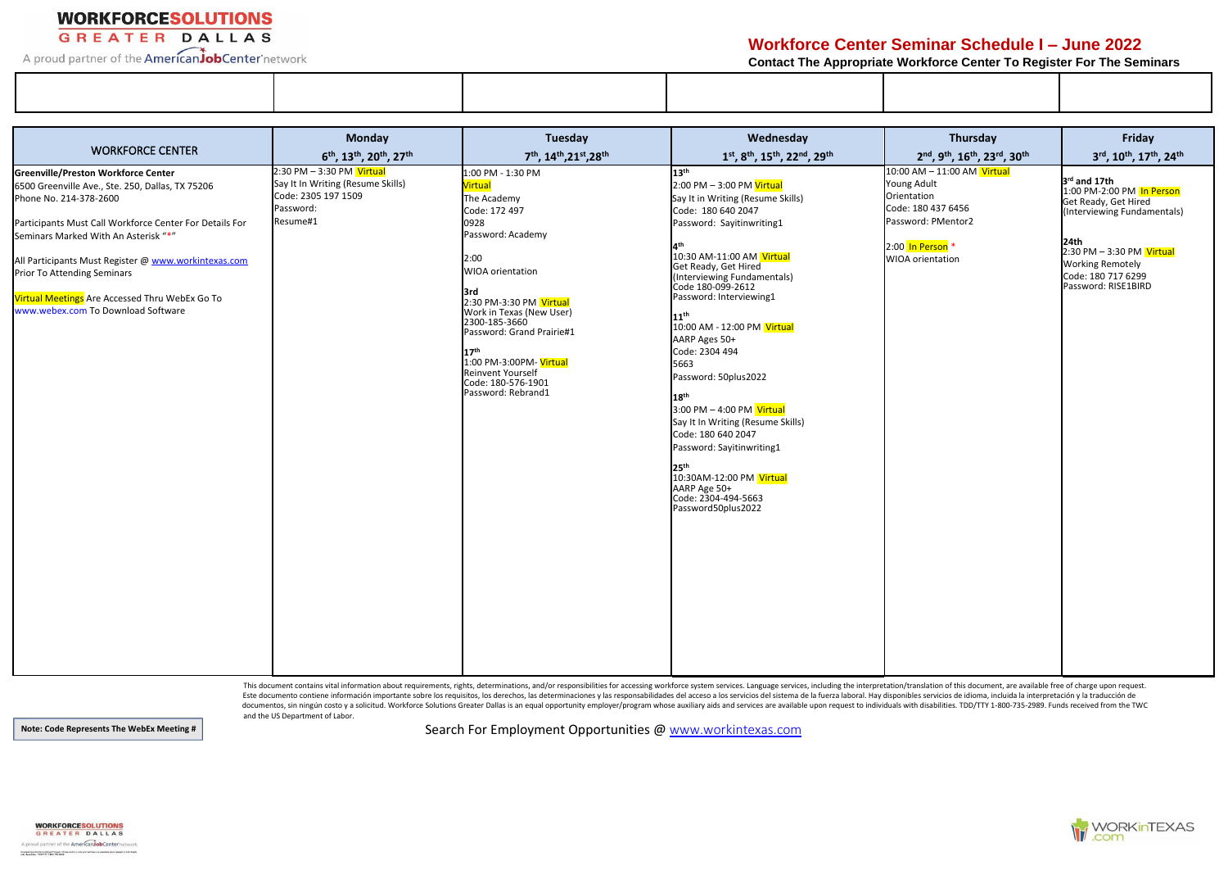

A proud partner of the **American Job Center** network

## **Workforce Center Seminar Schedule I – June 2022**

**Contact The Appropriate Workforce Center To Register For The Seminars**

This document contains vital information about requirements, rights, determinations, and/or responsibilities for accessing workforce system services. Language services, including the interpretation/translation of this docu Este documento contiene información importante sobre los requisitos, los derechos, las determinaciones y las responsabilidades del acceso a los servicios del sistema de la fuerza laboral. Hay disponibles servicios de idiom documentos, sin ningún costo y a solicitud. Workforce Solutions Greater Dallas is an equal opportunity employer/program whose auxiliary aids and services are available upon request to individuals with disabilities. TDD/TTY and the US Department of Labor.

| <b>WORKFORCE CENTER</b>                                 | <b>Monday</b><br>6 <sup>th</sup> , 13 <sup>th</sup> , 20 <sup>th</sup> , 27 <sup>th</sup> | Tuesday<br>7 <sup>th</sup> , 14 <sup>th</sup> , 21 <sup>st</sup> , 28 <sup>th</sup> | Wednesday<br>$1^{st}$ , $8^{th}$ , $15^{th}$ , $22^{nd}$ , $29^{th}$ | <b>Thursday</b><br>2nd, 9th, 16th, 23rd, 30th | Friday<br>3rd, 10th, 17th, 24th           |
|---------------------------------------------------------|-------------------------------------------------------------------------------------------|-------------------------------------------------------------------------------------|----------------------------------------------------------------------|-----------------------------------------------|-------------------------------------------|
| Greenville/Preston Workforce Center                     | 2:30 PM - 3:30 PM Virtual                                                                 | 1:00 PM - 1:30 PM                                                                   | 13 <sup>th</sup>                                                     | 10:00 AM - 11:00 AM Virtual                   |                                           |
| 6500 Greenville Ave., Ste. 250, Dallas, TX 75206        | Say It In Writing (Resume Skills)                                                         | <b>Virtual</b>                                                                      | 2:00 PM - 3:00 PM Virtual                                            | Young Adult                                   | 3rd and 17th<br>1:00 PM-2:00 PM In Person |
| Phone No. 214-378-2600                                  | Code: 2305 197 1509                                                                       | The Academy                                                                         | Say It in Writing (Resume Skills)                                    | Orientation                                   | Get Ready, Get Hired                      |
|                                                         | Password:                                                                                 | Code: 172 497                                                                       | Code: 180 640 2047                                                   | Code: 180 437 6456                            | (Interviewing Fundamentals)               |
| Participants Must Call Workforce Center For Details For | Resume#1                                                                                  | 0928                                                                                | Password: Sayitinwriting1                                            | Password: PMentor2                            |                                           |
| Seminars Marked With An Asterisk "*"                    |                                                                                           | Password: Academy                                                                   |                                                                      |                                               | 24 <sub>th</sub>                          |
|                                                         |                                                                                           |                                                                                     | l4 <sup>th</sup>                                                     | 2:00 In Person <sup>*</sup>                   | 2:30 PM - 3:30 PM Virtual                 |
| All Participants Must Register @ www.workintexas.com    |                                                                                           | 2:00                                                                                | 10:30 AM-11:00 AM Virtual<br>Get Ready, Get Hired                    | <b>WIOA</b> orientation                       | <b>Working Remotely</b>                   |
| <b>Prior To Attending Seminars</b>                      |                                                                                           | WIOA orientation                                                                    | (Interviewing Fundamentals)                                          |                                               | Code: 180 717 6299                        |
|                                                         |                                                                                           | 3rd                                                                                 | Code 180-099-2612                                                    |                                               | Password: RISE1BIRD                       |
| Virtual Meetings Are Accessed Thru WebEx Go To          |                                                                                           | 2:30 PM-3:30 PM Virtual                                                             | Password: Interviewing1                                              |                                               |                                           |
| www.webex.com To Download Software                      |                                                                                           | Work in Texas (New User)                                                            | 11 <sup>th</sup>                                                     |                                               |                                           |
|                                                         |                                                                                           | 2300-185-3660<br>Password: Grand Prairie#1                                          | 10:00 AM - 12:00 PM Virtual                                          |                                               |                                           |
|                                                         |                                                                                           |                                                                                     | AARP Ages 50+                                                        |                                               |                                           |
|                                                         |                                                                                           | 17 <sup>th</sup>                                                                    | Code: 2304 494                                                       |                                               |                                           |
|                                                         |                                                                                           | 1:00 PM-3:00PM- Virtual                                                             | 5663                                                                 |                                               |                                           |
|                                                         |                                                                                           | Reinvent Yourself<br>Code: 180-576-1901                                             | Password: 50plus2022                                                 |                                               |                                           |
|                                                         |                                                                                           | Password: Rebrand1                                                                  |                                                                      |                                               |                                           |
|                                                         |                                                                                           |                                                                                     | 18 <sup>th</sup>                                                     |                                               |                                           |
|                                                         |                                                                                           |                                                                                     | 3:00 PM - 4:00 PM Virtual                                            |                                               |                                           |
|                                                         |                                                                                           |                                                                                     | Say It In Writing (Resume Skills)                                    |                                               |                                           |
|                                                         |                                                                                           |                                                                                     | Code: 180 640 2047                                                   |                                               |                                           |
|                                                         |                                                                                           |                                                                                     | Password: Sayitinwriting1                                            |                                               |                                           |
|                                                         |                                                                                           |                                                                                     | 25 <sup>th</sup>                                                     |                                               |                                           |
|                                                         |                                                                                           |                                                                                     | 10:30AM-12:00 PM Virtual                                             |                                               |                                           |
|                                                         |                                                                                           |                                                                                     | AARP Age 50+                                                         |                                               |                                           |
|                                                         |                                                                                           |                                                                                     | Code: 2304-494-5663<br>Password50plus2022                            |                                               |                                           |
|                                                         |                                                                                           |                                                                                     |                                                                      |                                               |                                           |
|                                                         |                                                                                           |                                                                                     |                                                                      |                                               |                                           |
|                                                         |                                                                                           |                                                                                     |                                                                      |                                               |                                           |
|                                                         |                                                                                           |                                                                                     |                                                                      |                                               |                                           |
|                                                         |                                                                                           |                                                                                     |                                                                      |                                               |                                           |
|                                                         |                                                                                           |                                                                                     |                                                                      |                                               |                                           |
|                                                         |                                                                                           |                                                                                     |                                                                      |                                               |                                           |
|                                                         |                                                                                           |                                                                                     |                                                                      |                                               |                                           |
|                                                         |                                                                                           |                                                                                     |                                                                      |                                               |                                           |
|                                                         |                                                                                           |                                                                                     |                                                                      |                                               |                                           |
|                                                         |                                                                                           |                                                                                     |                                                                      |                                               |                                           |
|                                                         |                                                                                           |                                                                                     |                                                                      |                                               |                                           |
|                                                         |                                                                                           |                                                                                     |                                                                      |                                               |                                           |

**Note: Code Represents The WebEx Meeting #**



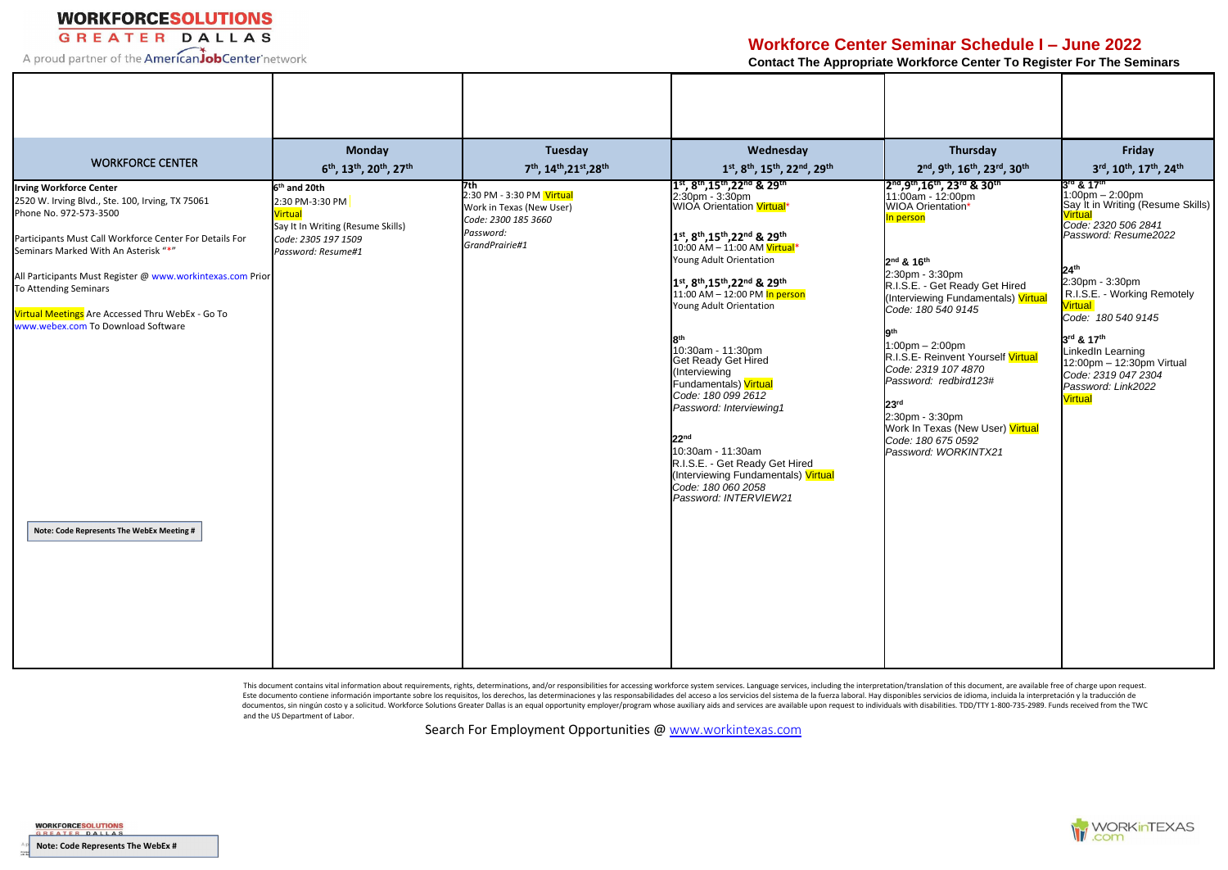# GREATER DALLAS

A proud partner of the **American Job Center** network

### **Workforce Center Seminar Schedule I – June 2022**

**Contact The Appropriate Workforce Center To Register For The Seminars**

This document contains vital information about requirements, rights, determinations, and/or responsibilities for accessing workforce system services. Language services, including the interpretation/translation of this docu Este documento contiene información importante sobre los requisitos, los derechos, las determinaciones y las responsabilidades del acceso a los servicios del sistema de la fuerza laboral. Hay disponibles servicios de idiom documentos, sin ningún costo y a solicitud. Workforce Solutions Greater Dallas is an equal opportunity employer/program whose auxiliary aids and services are available upon request to individuals with disabilities. TDD/TTY and the US Department of Labor.

| <b>WORKFORCE CENTER</b>                                                                                                                                                                                                                                                                                                                                                                                                                       | <b>Monday</b><br>6 <sup>th</sup> , 13 <sup>th</sup> , 20 <sup>th</sup> , 27 <sup>th</sup>                                                       | Tuesday<br>7 <sup>th</sup> , 14 <sup>th</sup> , 21 <sup>st</sup> , 28 <sup>th</sup>                                | Wednesday<br>1st, 8th, 15th, 22nd, 29th                                                                                                                                                                                                                                                                                                                                                                                                                                                                                                                                                                                                                                | Thursday<br>2nd, 9th, 16th, 23rd, 30th                                                                                                                                                                                                                                                                                                                                                                                                                                                                                                                                                  | Friday<br>3rd, 10th, 17th, 24th                                                                                                                                                                                                                                                                                                                                                        |
|-----------------------------------------------------------------------------------------------------------------------------------------------------------------------------------------------------------------------------------------------------------------------------------------------------------------------------------------------------------------------------------------------------------------------------------------------|-------------------------------------------------------------------------------------------------------------------------------------------------|--------------------------------------------------------------------------------------------------------------------|------------------------------------------------------------------------------------------------------------------------------------------------------------------------------------------------------------------------------------------------------------------------------------------------------------------------------------------------------------------------------------------------------------------------------------------------------------------------------------------------------------------------------------------------------------------------------------------------------------------------------------------------------------------------|-----------------------------------------------------------------------------------------------------------------------------------------------------------------------------------------------------------------------------------------------------------------------------------------------------------------------------------------------------------------------------------------------------------------------------------------------------------------------------------------------------------------------------------------------------------------------------------------|----------------------------------------------------------------------------------------------------------------------------------------------------------------------------------------------------------------------------------------------------------------------------------------------------------------------------------------------------------------------------------------|
| <b>Irving Workforce Center</b><br>2520 W. Irving Blvd., Ste. 100, Irving, TX 75061<br>Phone No. 972-573-3500<br>Participants Must Call Workforce Center For Details For<br>Seminars Marked With An Asterisk "*"<br>All Participants Must Register @ www.workintexas.com Prior<br>To Attending Seminars<br>Virtual Meetings Are Accessed Thru WebEx - Go To<br>www.webex.com To Download Software<br>Note: Code Represents The WebEx Meeting # | 6 <sup>th</sup> and 20th<br>2:30 PM-3:30 PM<br><b>Virtual</b><br>Say It In Writing (Resume Skills)<br>Code: 2305 197 1509<br>Password: Resume#1 | 7th<br>2:30 PM - 3:30 PM Virtual<br>Work in Texas (New User)<br>Code: 2300 185 3660<br>Password:<br>GrandPrairie#1 | $1st$ , 8 <sup>th</sup> , 15 <sup>th</sup> , 22 <sup>nd</sup> & 29 <sup>th</sup><br>2:30pm - 3:30pm<br>WIOA Orientation <b>Virtual</b> *<br>1st, 8th, 15th, 22nd & 29th<br>$10:00$ AM $- 11:00$ AM Virtual <sup>*</sup><br>Young Adult Orientation<br>1st, 8th, 15th, 22nd & 29th<br>$11:00$ AM $- 12:00$ PM In person<br>Young Adult Orientation<br>10:30am - 11:30pm<br>Get Ready Get Hired<br>(Interviewing<br>Fundamentals) Virtual<br>Code: 180 099 2612<br>Password: Interviewing1<br>22 <sup>nd</sup><br>10:30am - 11:30am<br>R.I.S.E. - Get Ready Get Hired<br>(Interviewing Fundamentals) <mark>Virtual</mark><br>Code: 180 060 2058<br>Password: INTERVIEW21 | 2 <sup>nd</sup> , 9 <sup>th</sup> , 16 <sup>th</sup> , 23 <sup>rd</sup> & 30 <sup>th</sup><br>11:00am - 12:00pm<br>WIOA Orientation*<br><mark>In person</mark><br>2 <sup>nd</sup> & 16 <sup>th</sup><br>2:30pm - 3:30pm<br>R.I.S.E. - Get Ready Get Hired<br>(Interviewing Fundamentals) Virtual<br>Code: 180 540 9145<br>$1:00 \text{pm} - 2:00 \text{pm}$<br>R.I.S.E- Reinvent Yourself Virtual<br>Code: 2319 107 4870<br>Password: redbird123#<br>23 <sup>rd</sup><br>2:30pm - 3:30pm<br>Work In Texas (New User) <mark>Virtual</mark><br>Code: 180 675 0592<br>Password: WORKINTX21 | 3rd & 17th<br>$1:00$ pm $- 2:00$ pm<br>Say It in Writing (Resume Skills)<br><b>Virtual</b><br>Code: 2320 506 2841<br>Password: Resume2022<br>24 <sup>th</sup><br>2:30pm - 3:30pm<br>R.I.S.E. - Working Remotely<br><b>Virtual</b><br>Code: 180 540 9145<br>3rd & 17th<br>LinkedIn Learning<br>12:00pm - 12:30pm Virtual<br>Code: 2319 047 2304<br>Password: Link2022<br><b>Virtual</b> |

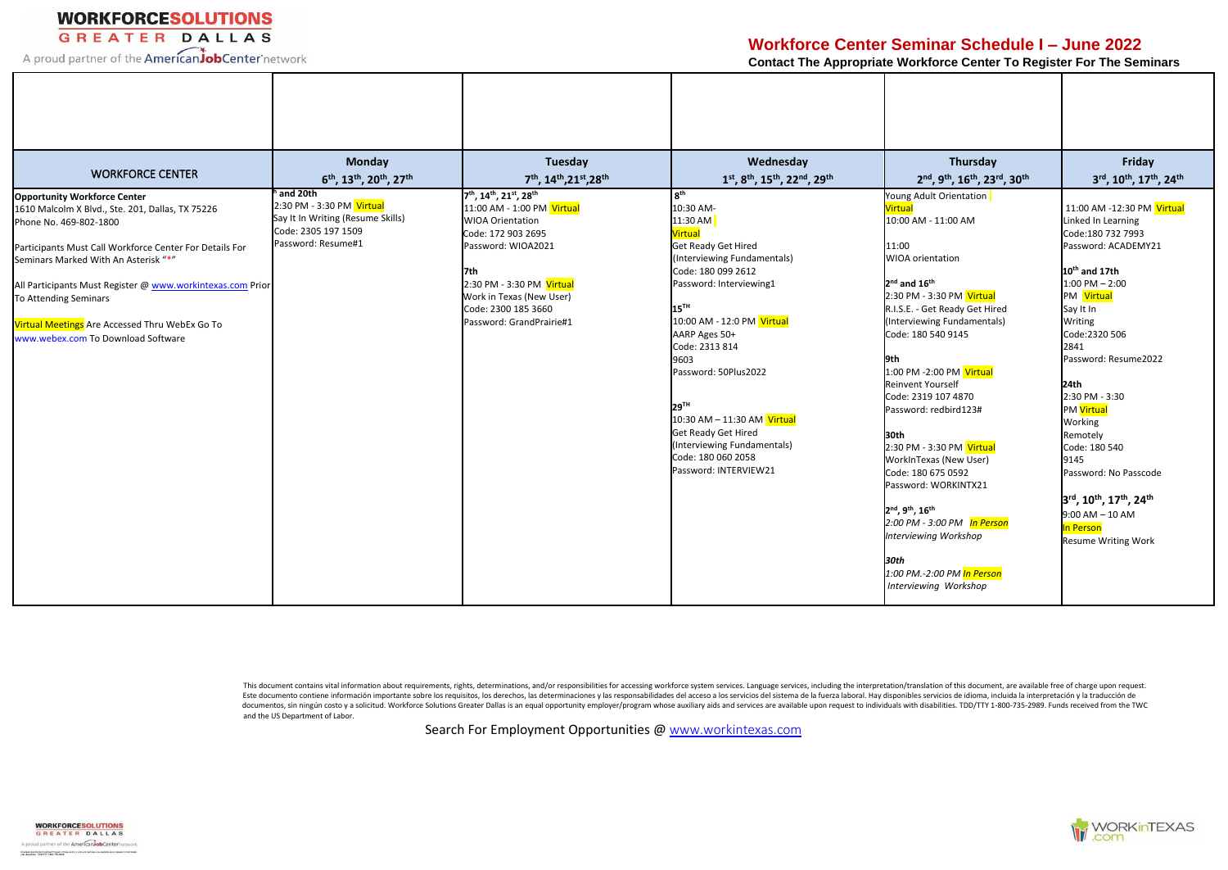

A proud partner of the **American Job Center** network

### **Workforce Center Seminar Schedule I – June 2022**

#### **Contact The Appropriate Workforce Center To Register For The Seminars**



This document contains vital information about requirements, rights, determinations, and/or responsibilities for accessing workforce system services. Language services, including the interpretation/translation of this docu Este documento contiene información importante sobre los requisitos, los derechos, las determinaciones y las responsabilidades del acceso a los servicios del sistema de la fuerza laboral. Hay disponibles servicios de idiom documentos, sin ningún costo y a solicitud. Workforce Solutions Greater Dallas is an equal opportunity employer/program whose auxiliary aids and services are available upon request to individuals with disabilities. TDD/TTY and the US Department of Labor.



| <b>WORKFORCE CENTER</b>                                                                                                                                                                                                                                                                                                                                                                             | <b>Monday</b><br>6 <sup>th</sup> , 13 <sup>th</sup> , 20 <sup>th</sup> , 27 <sup>th</sup>                               | Tuesday<br>7 <sup>th</sup> , 14 <sup>th</sup> , 21 <sup>st</sup> , 28 <sup>th</sup>                                                                                                                                                                                                               | Wednesday<br>$1^{st}$ , 8 <sup>th</sup> , 15 <sup>th</sup> , 22 <sup>nd</sup> , 29 <sup>th</sup>                                                                                                                                                                                                                                                                                                                                   | <b>Thursday</b><br>2nd, 9th, 16th, 23rd, 30th                                                                                                                                                                                                                                                                                                                                                                                                                                                                                                                                                                                                                                | Friday<br>3rd, 10th, 17th, 24th                                                                                                                                                                                                                                                                                                                                                                                                                                                                     |
|-----------------------------------------------------------------------------------------------------------------------------------------------------------------------------------------------------------------------------------------------------------------------------------------------------------------------------------------------------------------------------------------------------|-------------------------------------------------------------------------------------------------------------------------|---------------------------------------------------------------------------------------------------------------------------------------------------------------------------------------------------------------------------------------------------------------------------------------------------|------------------------------------------------------------------------------------------------------------------------------------------------------------------------------------------------------------------------------------------------------------------------------------------------------------------------------------------------------------------------------------------------------------------------------------|------------------------------------------------------------------------------------------------------------------------------------------------------------------------------------------------------------------------------------------------------------------------------------------------------------------------------------------------------------------------------------------------------------------------------------------------------------------------------------------------------------------------------------------------------------------------------------------------------------------------------------------------------------------------------|-----------------------------------------------------------------------------------------------------------------------------------------------------------------------------------------------------------------------------------------------------------------------------------------------------------------------------------------------------------------------------------------------------------------------------------------------------------------------------------------------------|
| <b>Opportunity Workforce Center</b><br>1610 Malcolm X Blvd., Ste. 201, Dallas, TX 75226<br>Phone No. 469-802-1800<br>Participants Must Call Workforce Center For Details For<br>Seminars Marked With An Asterisk "*"<br>All Participants Must Register @ www.workintexas.com Prior<br>To Attending Seminars<br>Virtual Meetings Are Accessed Thru WebEx Go To<br>www.webex.com To Download Software | and 20th<br>2:30 PM - 3:30 PM Virtual<br>Say It In Writing (Resume Skills)<br>Code: 2305 197 1509<br>Password: Resume#1 | 7 <sup>th</sup> , 14 <sup>th</sup> , 21 <sup>st</sup> , 28 <sup>th</sup><br>11:00 AM - 1:00 PM Virtual<br><b>WIOA Orientation</b><br>Code: 172 903 2695<br>Password: WIOA2021<br>l7th<br>2:30 PM - 3:30 PM Virtual<br>Work in Texas (New User)<br>Code: 2300 185 3660<br>Password: GrandPrairie#1 | 8 <sup>th</sup><br>10:30 AM-<br>11:30 AM<br><b>Virtual</b><br><b>Get Ready Get Hired</b><br>(Interviewing Fundamentals)<br>Code: 180 099 2612<br>Password: Interviewing1<br>$15^{TH}$<br>10:00 AM - 12:0 PM Virtual<br>AARP Ages 50+<br>Code: 2313 814<br>9603<br>Password: 50Plus2022<br>29TH<br>10:30 AM - 11:30 AM Virtual<br>Get Ready Get Hired<br>(Interviewing Fundamentals)<br>Code: 180 060 2058<br>Password: INTERVIEW21 | Young Adult Orientation<br><b>Virtual</b><br>10:00 AM - 11:00 AM<br>11:00<br><b>WIOA</b> orientation<br>$2nd$ and $16th$<br>2:30 PM - 3:30 PM Virtual<br>R.I.S.E. - Get Ready Get Hired<br>(Interviewing Fundamentals)<br>Code: 180 540 9145<br>19th<br>1:00 PM -2:00 PM Virtual<br><b>Reinvent Yourself</b><br>Code: 2319 107 4870<br>Password: redbird123#<br>30th<br>2:30 PM - 3:30 PM Virtual<br><b>WorkInTexas (New User)</b><br>Code: 180 675 0592<br>Password: WORKINTX21<br>2 <sup>nd</sup> , 9 <sup>th</sup> , 16 <sup>th</sup><br>2:00 PM - 3:00 PM In Person<br>Interviewing Workshop<br>30th<br>1:00 PM.-2:00 PM <mark>In Person</mark><br>Interviewing Workshop | 11:00 AM -12:30 PM Virtual<br>Linked In Learning<br>Code: 180 732 7993<br>Password: ACADEMY21<br>10 <sup>th</sup> and 17th<br>$1:00$ PM $- 2:00$<br>PM Virtual<br>Say It In<br>Writing<br>Code:2320 506<br>2841<br>Password: Resume2022<br>24 <sub>th</sub><br>2:30 PM - 3:30<br>PM Virtua<br>Working<br>Remotely<br>Code: 180 540<br>9145<br>Password: No Passcode<br>3rd, 10 <sup>th</sup> , 17 <sup>th</sup> , 24 <sup>th</sup><br>$9:00$ AM $-10$ AM<br>In Person<br><b>Resume Writing Work</b> |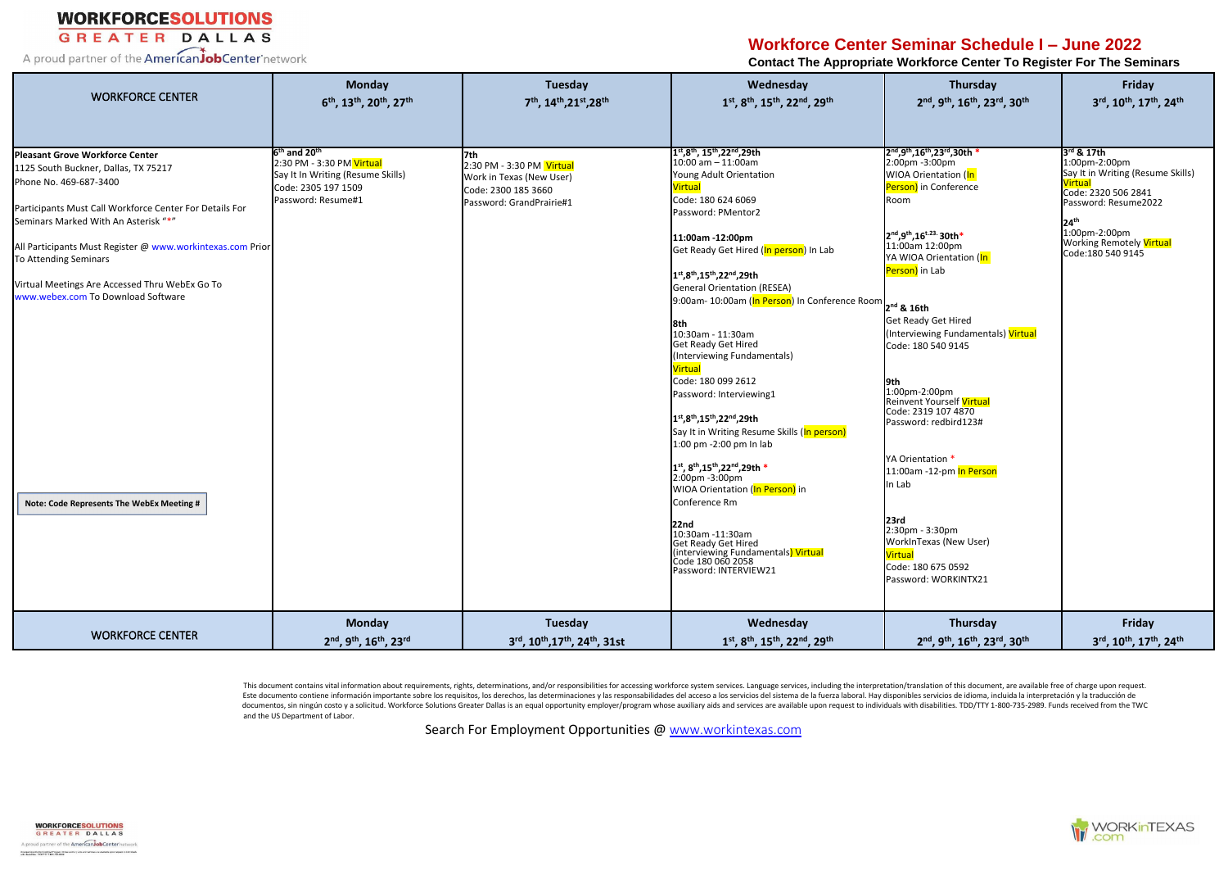## **GREATER DALLAS**

A proud partner of the **American Job Center** network

### **Workforce Center Seminar Schedule I – June 2022**

**Contact The Appropriate Workforce Center To Register For The Seminars**

This document contains vital information about requirements, rights, determinations, and/or responsibilities for accessing workforce system services. Language services, including the interpretation/translation of this docu Este documento contiene información importante sobre los requisitos, los derechos, las determinaciones y las responsabilidades del acceso a los servicios del sistema de la fuerza laboral. Hay disponibles servicios de idiom documentos, sin ningún costo y a solicitud. Workforce Solutions Greater Dallas is an equal opportunity employer/program whose auxiliary aids and services are available upon request to individuals with disabilities. TDD/TTY and the US Department of Labor.





| <b>WORKFORCE CENTER</b>                                                                                                                                                                                                                                                                                                                                                                                                                 | <b>Monday</b>                                                                                                                                      | <b>Tuesday</b>                                                                                                  | Wednesday                                                                                                                                                                                                                                                                                                                                                                                                                                                                                                                                                                                                                                                                                                                                                                                                                                                                                                                                                                                                                                         | Thursday                                                                                                                                                                                                                                                                                                                                                                                                                                                                                                                                                                                        | <b>Friday</b>                                                                                                                                                                                                                   |
|-----------------------------------------------------------------------------------------------------------------------------------------------------------------------------------------------------------------------------------------------------------------------------------------------------------------------------------------------------------------------------------------------------------------------------------------|----------------------------------------------------------------------------------------------------------------------------------------------------|-----------------------------------------------------------------------------------------------------------------|---------------------------------------------------------------------------------------------------------------------------------------------------------------------------------------------------------------------------------------------------------------------------------------------------------------------------------------------------------------------------------------------------------------------------------------------------------------------------------------------------------------------------------------------------------------------------------------------------------------------------------------------------------------------------------------------------------------------------------------------------------------------------------------------------------------------------------------------------------------------------------------------------------------------------------------------------------------------------------------------------------------------------------------------------|-------------------------------------------------------------------------------------------------------------------------------------------------------------------------------------------------------------------------------------------------------------------------------------------------------------------------------------------------------------------------------------------------------------------------------------------------------------------------------------------------------------------------------------------------------------------------------------------------|---------------------------------------------------------------------------------------------------------------------------------------------------------------------------------------------------------------------------------|
|                                                                                                                                                                                                                                                                                                                                                                                                                                         | 6 <sup>th</sup> , 13 <sup>th</sup> , 20 <sup>th</sup> , 27 <sup>th</sup>                                                                           | 7 <sup>th</sup> , 14 <sup>th</sup> , 21 <sup>st</sup> , 28 <sup>th</sup>                                        | 1st, 8th, 15th, 22nd, 29th                                                                                                                                                                                                                                                                                                                                                                                                                                                                                                                                                                                                                                                                                                                                                                                                                                                                                                                                                                                                                        | 2nd, 9th, 16th, 23rd, 30th                                                                                                                                                                                                                                                                                                                                                                                                                                                                                                                                                                      | 3rd, 10 <sup>th</sup> , 17 <sup>th</sup> , 24 <sup>th</sup>                                                                                                                                                                     |
| <b>Pleasant Grove Workforce Center</b><br>1125 South Buckner, Dallas, TX 75217<br>Phone No. 469-687-3400<br>Participants Must Call Workforce Center For Details For<br>Seminars Marked With An Asterisk "*"<br>All Participants Must Register @ www.workintexas.com Prior<br>To Attending Seminars<br>Virtual Meetings Are Accessed Thru WebEx Go To<br>www.webex.com To Download Software<br>Note: Code Represents The WebEx Meeting # | 6 <sup>th</sup> and 20 <sup>th</sup><br>2:30 PM - 3:30 PM Virtua<br>Say It In Writing (Resume Skills)<br>Code: 2305 197 1509<br>Password: Resume#1 | 7th<br>2:30 PM - 3:30 PM Virtual<br>Work in Texas (New User)<br>Code: 2300 185 3660<br>Password: GrandPrairie#1 | 1 <sup>st</sup> ,8 <sup>th</sup> , 15 <sup>th</sup> ,22 <sup>nd</sup> ,29th<br>$10:00$ am $-11:00$ am<br>Young Adult Orientation<br><b>Virtual</b><br>Code: 180 624 6069<br>Password: PMentor2<br>11:00am -12:00pm<br>Get Ready Get Hired (In person) In Lab<br>1 <sup>st</sup> ,8 <sup>th</sup> ,15 <sup>th</sup> ,22 <sup>nd</sup> ,29th<br><b>General Orientation (RESEA)</b><br>9:00am- 10:00am (In Person) In Conference Room<br>8th<br>10:30am - 11:30am<br>Get Ready Get Hired<br>(Interviewing Fundamentals)<br><b>Virtual</b><br>Code: 180 099 2612<br>Password: Interviewing1<br>1 <sup>st</sup> ,8 <sup>th</sup> ,15 <sup>th</sup> ,22 <sup>nd</sup> ,29th<br>Say It in Writing Resume Skills (In person)<br>1:00 pm -2:00 pm In lab<br>1 <sup>st</sup> , 8 <sup>th</sup> , 15 <sup>th</sup> , 22 <sup>nd</sup> , 29th *<br>2:00pm -3:00pm<br>WIOA Orientation (In Person) in<br>Conference Rm<br>22nd<br>10:30am -11:30am<br>Get Ready Get Hired<br>(interviewing Fundamentals) Virtual<br>Code 180 060 2058<br>Password: INTERVIEW21 | 2nd, 9th, 16th, 23rd, 30th<br>2:00pm -3:00pm<br>WIOA Orientation (In<br>Person) in Conference<br>Room<br>2nd, 9th, 16t.23. 30th*<br>11:00am 12:00pm<br>YA WIOA Orientation (In<br>Person) in Lab<br>$2nd$ & 16th<br><b>Get Ready Get Hired</b><br>(Interviewing Fundamentals) Virtual<br>Code: 180 540 9145<br>9th<br>1:00pm-2:00pm<br>Reinvent Yourself Virtual<br>Code: 2319 107 4870<br>Password: redbird123#<br>YA Orientation *<br>11:00am -12-pm In Person<br>In Lab<br>23rd<br>2:30pm - 3:30pm<br>WorkInTexas (New User)<br><b>Virtual</b><br>Code: 180 675 0592<br>Password: WORKINTX21 | 3rd & 17th<br>1:00pm-2:00pm<br>Say It in Writing (Resume Skills)<br><b>Virtual</b><br>Code: 2320 506 2841<br>Password: Resume2022<br>124 <sup>th</sup><br>1:00pm-2:00pm<br><b>Working Remotely Virtual</b><br>Code:180 540 9145 |
| <b>WORKFORCE CENTER</b>                                                                                                                                                                                                                                                                                                                                                                                                                 | <b>Monday</b>                                                                                                                                      | <b>Tuesday</b>                                                                                                  | Wednesday                                                                                                                                                                                                                                                                                                                                                                                                                                                                                                                                                                                                                                                                                                                                                                                                                                                                                                                                                                                                                                         | <b>Thursday</b>                                                                                                                                                                                                                                                                                                                                                                                                                                                                                                                                                                                 | Friday                                                                                                                                                                                                                          |
|                                                                                                                                                                                                                                                                                                                                                                                                                                         | 2nd, 9th, 16th, 23rd                                                                                                                               | 3rd, 10 <sup>th</sup> , 17 <sup>th</sup> , 24 <sup>th</sup> , 31st                                              | 1 <sup>st</sup> , 8 <sup>th</sup> , 15 <sup>th</sup> , 22 <sup>nd</sup> , 29 <sup>th</sup>                                                                                                                                                                                                                                                                                                                                                                                                                                                                                                                                                                                                                                                                                                                                                                                                                                                                                                                                                        | 2nd, 9th, 16th, 23rd, 30th                                                                                                                                                                                                                                                                                                                                                                                                                                                                                                                                                                      | 3rd, 10 <sup>th</sup> , 17 <sup>th</sup> , 24 <sup>th</sup>                                                                                                                                                                     |